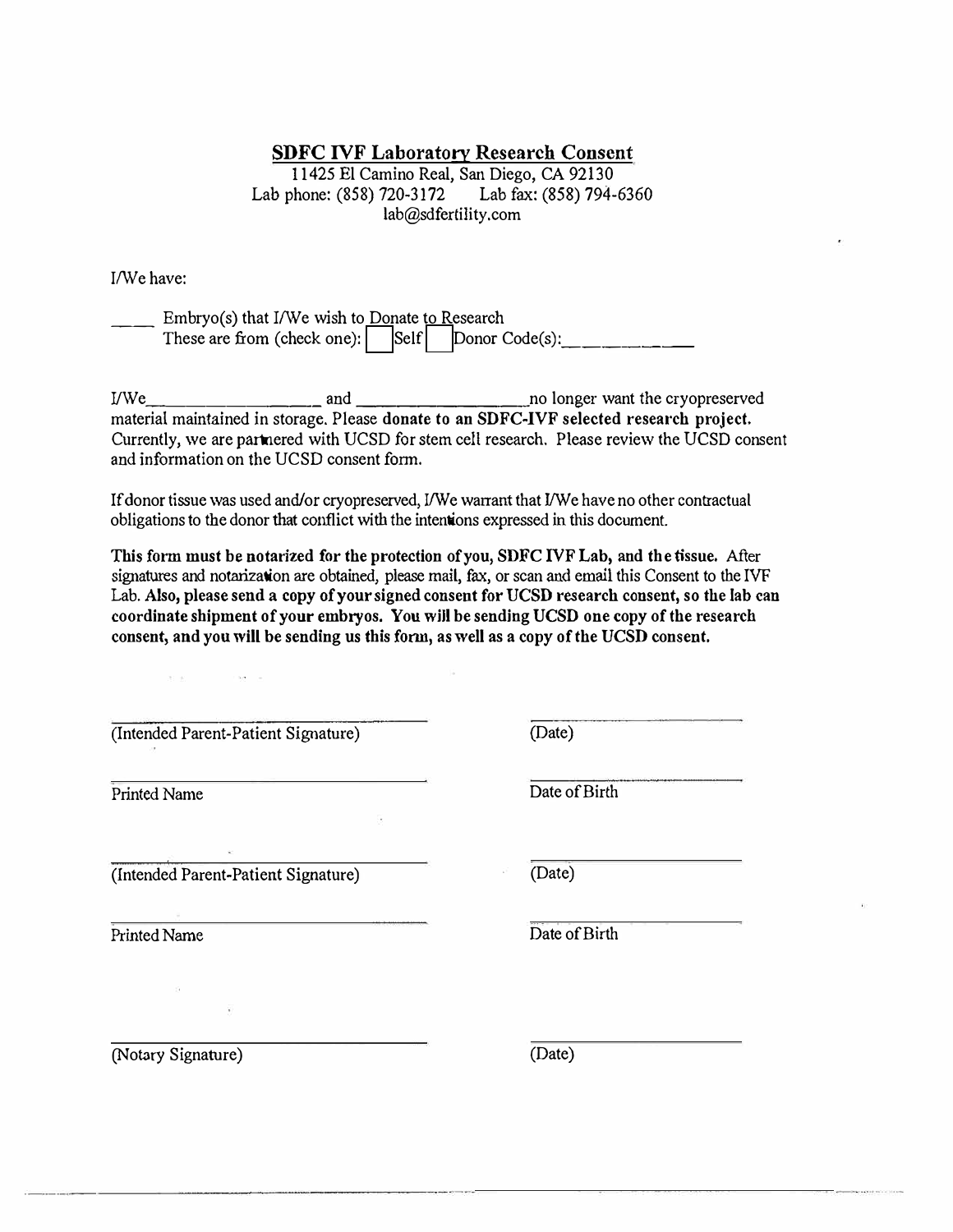## **SDFC IVF Laboratory Research Consent**

11425 El Camino Real, San Diego, CA 92130 Lab phone: (858) 720-3172 Lab fax: (858) 794-6360 lab@sdfertility.com

I/We have:

| Embryo(s) that I/We wish to Donate to Research  |  |  |
|-------------------------------------------------|--|--|
| These are from (check one): Self Donor Code(s): |  |  |

I/We 2010 and 2010 and 2010 and 2010 and 2010 and 2010 and 2010 and 2010 and 2010 and 2010 and 2010 and 2010 and 2010 and 2010 and 2010 and 2010 and 2010 and 2010 and 2010 and 2010 and 2010 and 2010 and 2010 and 2010 and 2 material maintained in storage. Please **donate to an SDFC-IVF selected research project.** Currently, we are pannered with UCSD for stem cell research. Please review the UCSD consent and information on the UCSD consent form.

If donor tissue was used and/or cryopreserved, I/We warrant that I/We have no other contractual obligations to the donor that conflict with the intenions expressed in this document.

**This form must be notarized for the protection of you, SDFC IVF Lab, and the tissue.** After signatures and notarization are obtained, please mail, fax, or scan and email this Consent to the IVF Lab. Also, please send a copy of your signed consent for UCSD research consent, so the lab can **coordinate shipment of your embryos. You will be sending UCSD one copy of the research consent, and you will be sending us this fonn, as well as a copy of the UCSD consent.** 

| (Intended Parent-Patient Signature) | (Date) |
|-------------------------------------|--------|
|-------------------------------------|--------|

 $\label{eq:3.1} 31.96 \qquad \qquad 182.18$ 

(Intended Parent-Patient Signature) (Date)

Printed Name Date of Birth

Printed Name Date of Birth

(Notary Signature) (Date)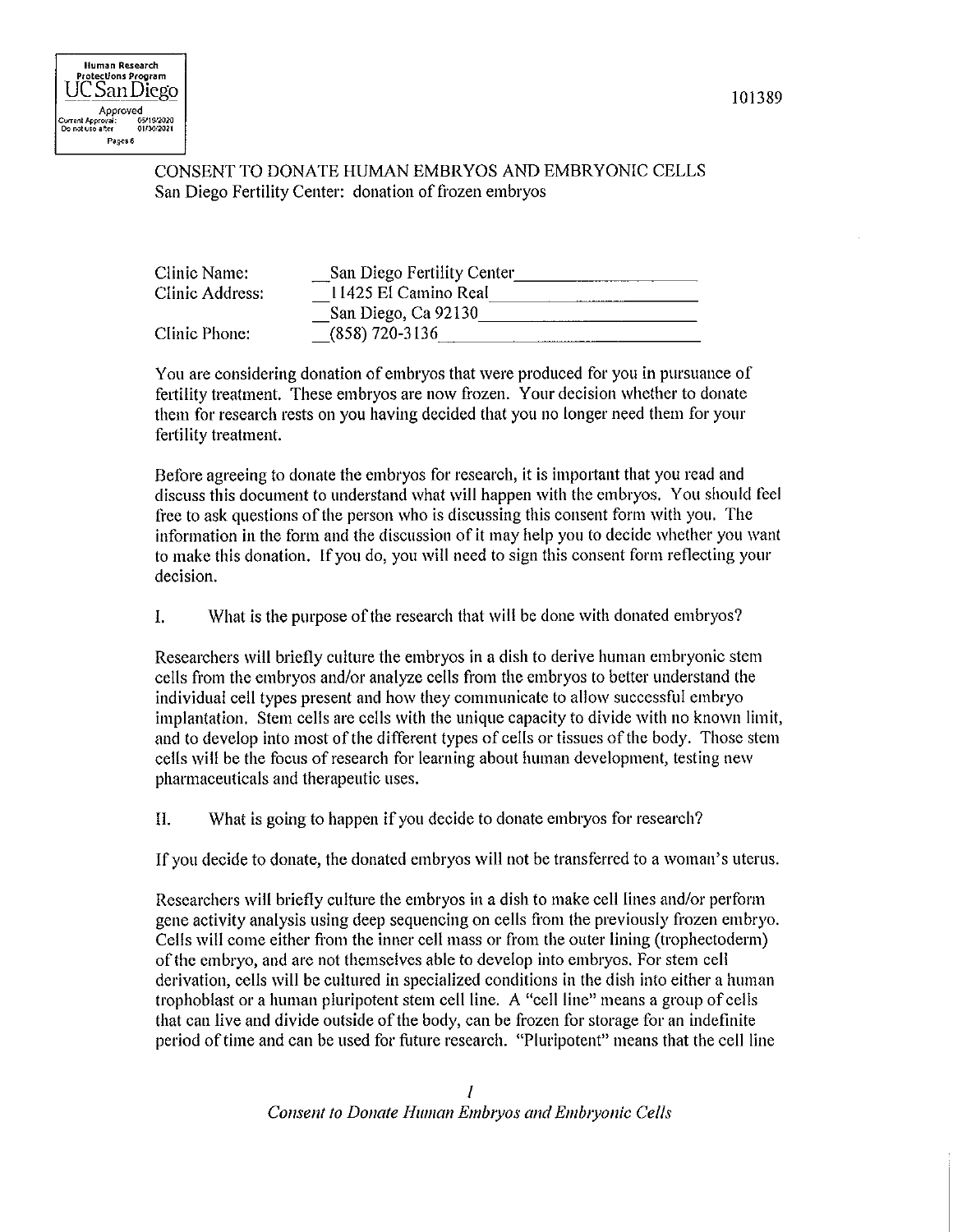## CONSENT TO DONATE HUMAN EMBRYOS AND EMBRYONIC CELLS San Diego Fertility Center: donation of frozen embryos

| Clinic Name:    | San Diego Fertility Center |  |
|-----------------|----------------------------|--|
| Clinic Address: | 11425 El Camino Real       |  |
|                 | San Diego, Ca 92130        |  |
| Clinic Phone:   | $(858)$ 720-3136           |  |

You are considering donation of embryos that were produced for you in pursuance of fertility treatment. These embryos are now frozen. Your decision whether to donate them for research rests on you having decided that you no longer need them for your fertility treatment.

Before agreeing to donate the embryos for research, it is important that you read and discuss this document to understand what will happen with the embryos. You should feel free to ask questions of the person who is discussing this consent form with you. The information in the form and the discussion of it may help you to decide whether you want to make this donation. If you do, you will need to sign this consent form reflecting your decision.

 $\mathbf{I}$ . What is the purpose of the research that will be done with donated embryos?

Researchers will briefly culture the embryos in a dish to derive human embryonic stem cells from the embryos and/or analyze cells from the embryos to better understand the individual cell types present and how they communicate to allow successful embryo implantation. Stem cells are cells with the unique capacity to divide with no known limit, and to develop into most of the different types of cells or tissues of the body. Those stem cells will be the focus of research for learning about human development, testing new pharmaceuticals and therapeutic uses.

 $\Pi$ What is going to happen if you decide to donate embryos for research?

If you decide to donate, the donated embryos will not be transferred to a woman's uterus.

Researchers will briefly culture the embryos in a dish to make cell lines and/or perform gene activity analysis using deep sequencing on cells from the previously frozen embryo. Cells will come either from the inner cell mass or from the outer lining (trophectoderm) of the embryo, and are not themselves able to develop into embryos. For stem cell derivation, cells will be cultured in specialized conditions in the dish into either a human trophoblast or a human pluripotent stem cell line. A "cell line" means a group of cells that can live and divide outside of the body, can be frozen for storage for an indefinite period of time and can be used for future research. "Pluripotent" means that the cell line

101389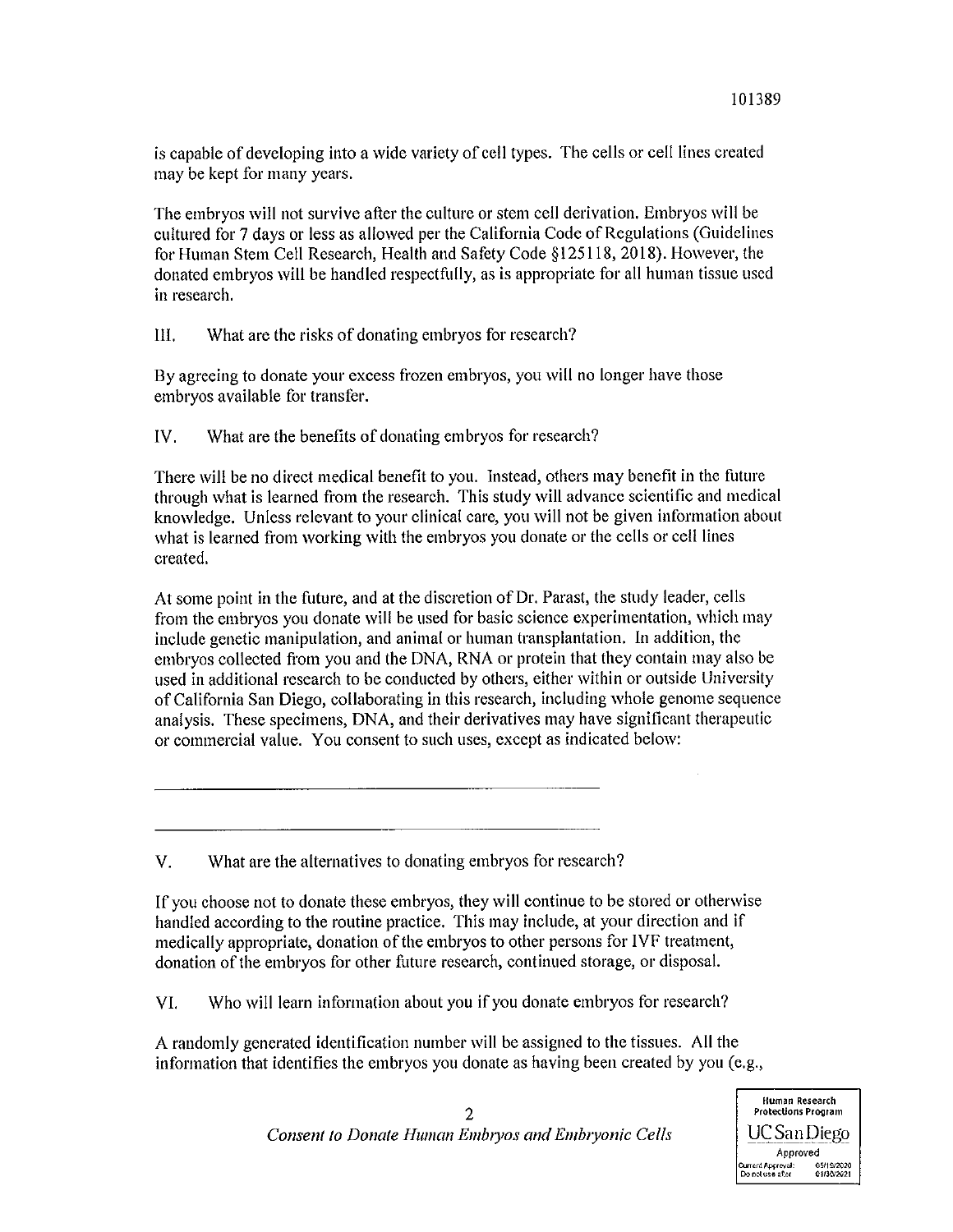is capable of developing into a wide variety of cell types. The cells or cell lines created may be kept for many years.

The embryos will not survive after the culture or stem cell derivation. Embryos will be cultured for 7 days or less as allowed per the California Code of Regulations (Guidelines for Human Stem Cell Research, Health and Safety Code §125118, 2018). However, the donated embryos will be handled respectfully, as is appropriate for all human tissue used in research.

Ш. What are the risks of donating embryos for research?

By agreeing to donate your excess frozen embryos, you will no longer have those embryos available for transfer.

IV. What are the benefits of donating embryos for research?

There will be no direct medical benefit to you. Instead, others may benefit in the future through what is learned from the research. This study will advance scientific and medical knowledge. Unless relevant to your clinical care, you will not be given information about what is learned from working with the embryos you donate or the cells or cell lines created.

At some point in the future, and at the discretion of Dr. Parast, the study leader, cells from the embryos you donate will be used for basic science experimentation, which may include genetic manipulation, and animal or human transplantation. In addition, the embryos collected from you and the DNA, RNA or protein that they contain may also be used in additional research to be conducted by others, either within or outside University of California San Diego, collaborating in this research, including whole genome sequence analysis. These specimens, DNA, and their derivatives may have significant therapeutic or commercial value. You consent to such uses, except as indicated below:

V. What are the alternatives to donating embryos for research?

If you choose not to donate these embryos, they will continue to be stored or otherwise handled according to the routine practice. This may include, at your direction and if medically appropriate, donation of the embryos to other persons for IVF treatment, donation of the embryos for other future research, continued storage, or disposal.

VI. Who will learn information about you if you donate embryos for research?

A randomly generated identification number will be assigned to the tissues. All the information that identifies the embryos you donate as having been created by you (e.g.,

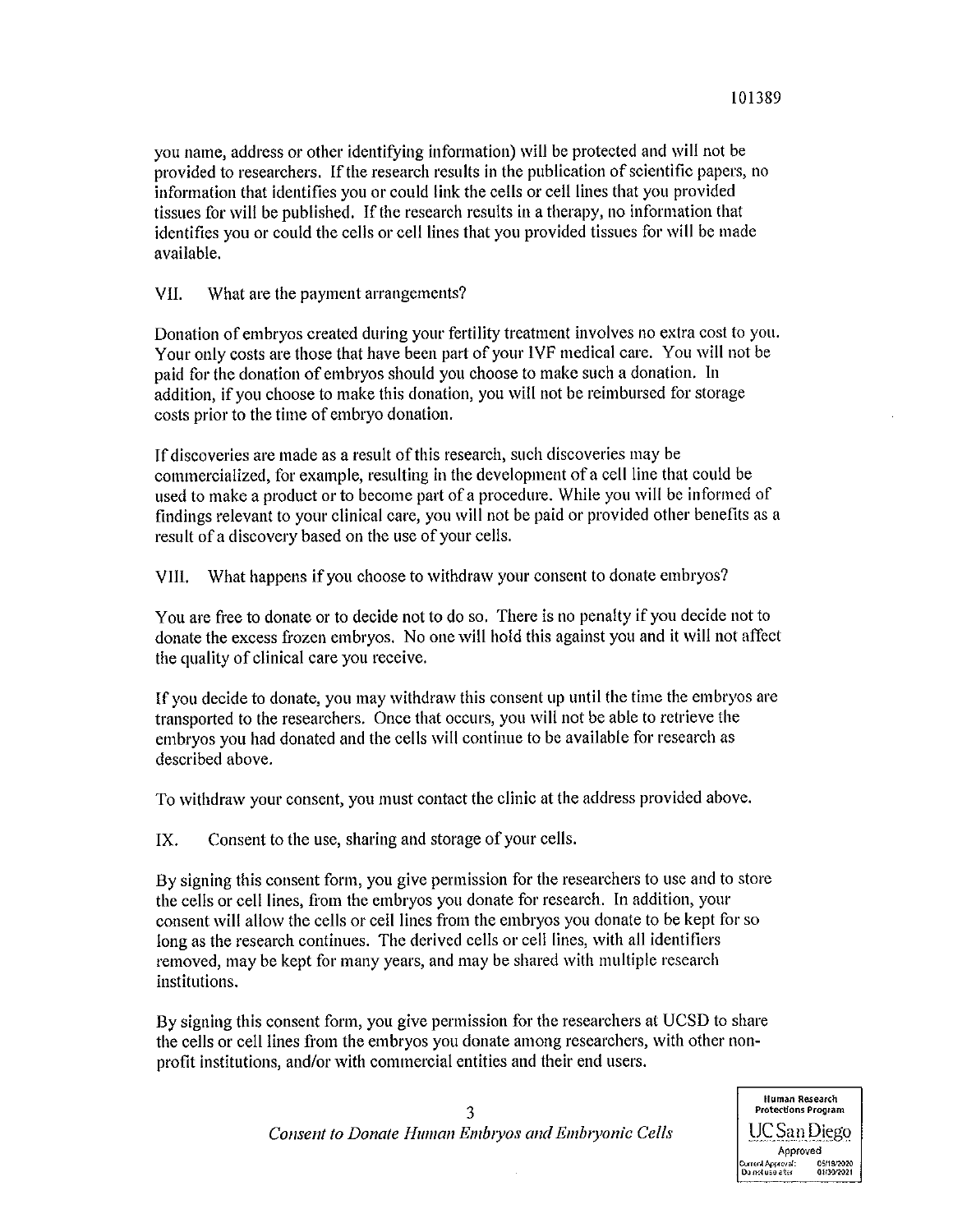you name, address or other identifying information) will be protected and will not be provided to researchers. If the research results in the publication of scientific papers, no information that identifies you or could link the cells or cell lines that you provided tissues for will be published. If the research results in a therapy, no information that identifies you or could the cells or cell lines that you provided tissues for will be made available.

VII. What are the payment arrangements?

Donation of embryos created during your fertility treatment involves no extra cost to you. Your only costs are those that have been part of your IVF medical care. You will not be paid for the donation of embryos should you choose to make such a donation. In addition, if you choose to make this donation, you will not be reimbursed for storage costs prior to the time of embryo donation.

If discoveries are made as a result of this research, such discoveries may be commercialized, for example, resulting in the development of a cell line that could be used to make a product or to become part of a procedure. While you will be informed of findings relevant to your clinical care, you will not be paid or provided other benefits as a result of a discovery based on the use of your cells.

What happens if you choose to withdraw your consent to donate embryos? VIII.

You are free to donate or to decide not to do so. There is no penalty if you decide not to donate the excess frozen embryos. No one will hold this against you and it will not affect the quality of clinical care you receive.

If you decide to donate, you may withdraw this consent up until the time the embryos are transported to the researchers. Once that occurs, you will not be able to retrieve the embryos you had donated and the cells will continue to be available for research as described above.

To withdraw your consent, you must contact the clinic at the address provided above.

IX. Consent to the use, sharing and storage of your cells.

By signing this consent form, you give permission for the researchers to use and to store the cells or cell lines, from the embryos you donate for research. In addition, your consent will allow the cells or cell lines from the embryos you donate to be kept for so long as the research continues. The derived cells or cell lines, with all identifiers removed, may be kept for many years, and may be shared with multiple research institutions.

By signing this consent form, you give permission for the researchers at UCSD to share the cells or cell lines from the embryos you donate among researchers, with other nonprofit institutions, and/or with commercial entities and their end users.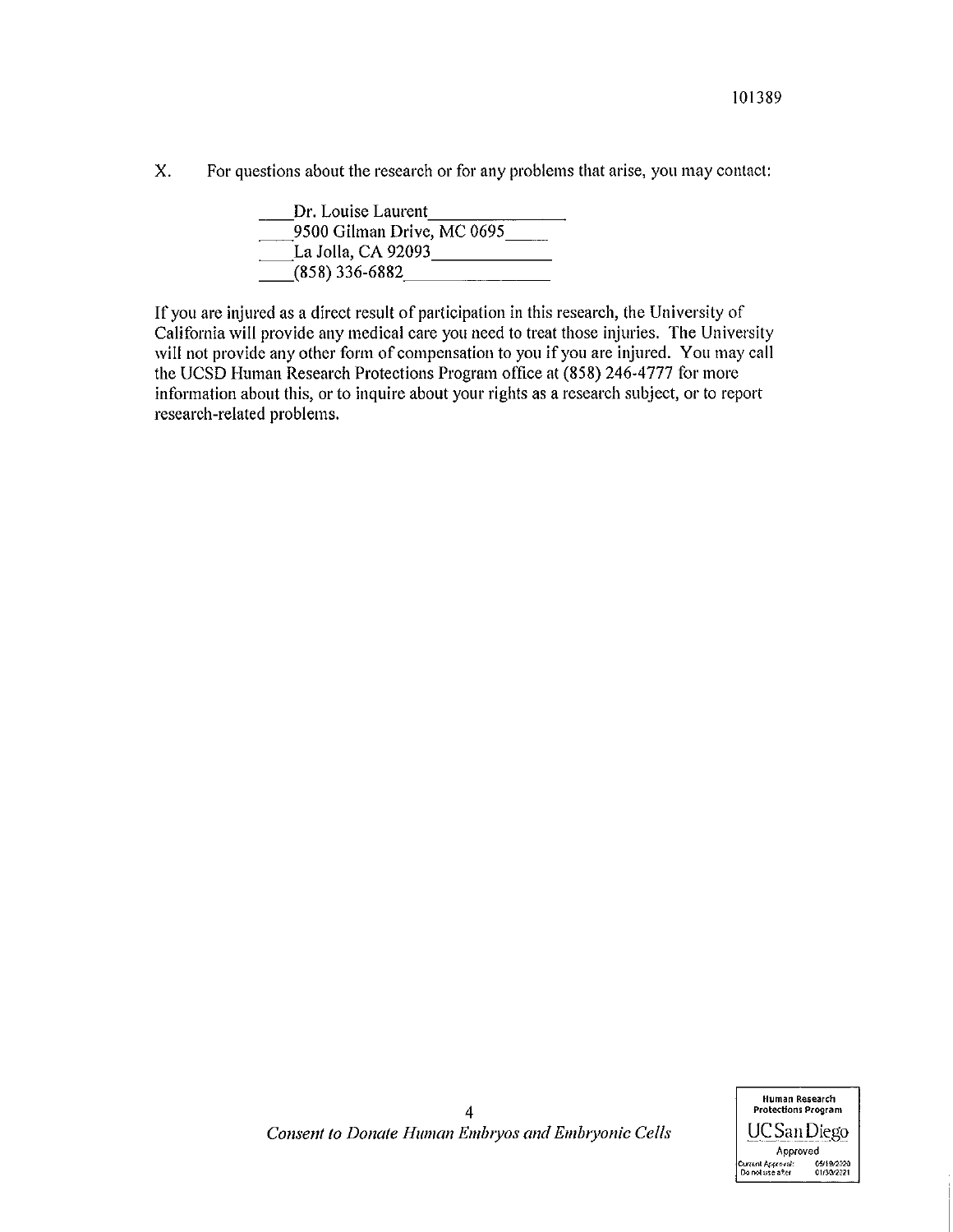X. For questions about the research or for any problems that arise, you may contact:

> Dr. Louise Laurent 9500 Gilman Drive, MC 0695 La Jolla, CA 92093  $(858)$  336-6882

If you are injured as a direct result of participation in this research, the University of California will provide any medical care you need to treat those injuries. The University will not provide any other form of compensation to you if you are injured. You may call the UCSD Human Research Protections Program office at (858) 246-4777 for more information about this, or to inquire about your rights as a research subject, or to report research-related problems.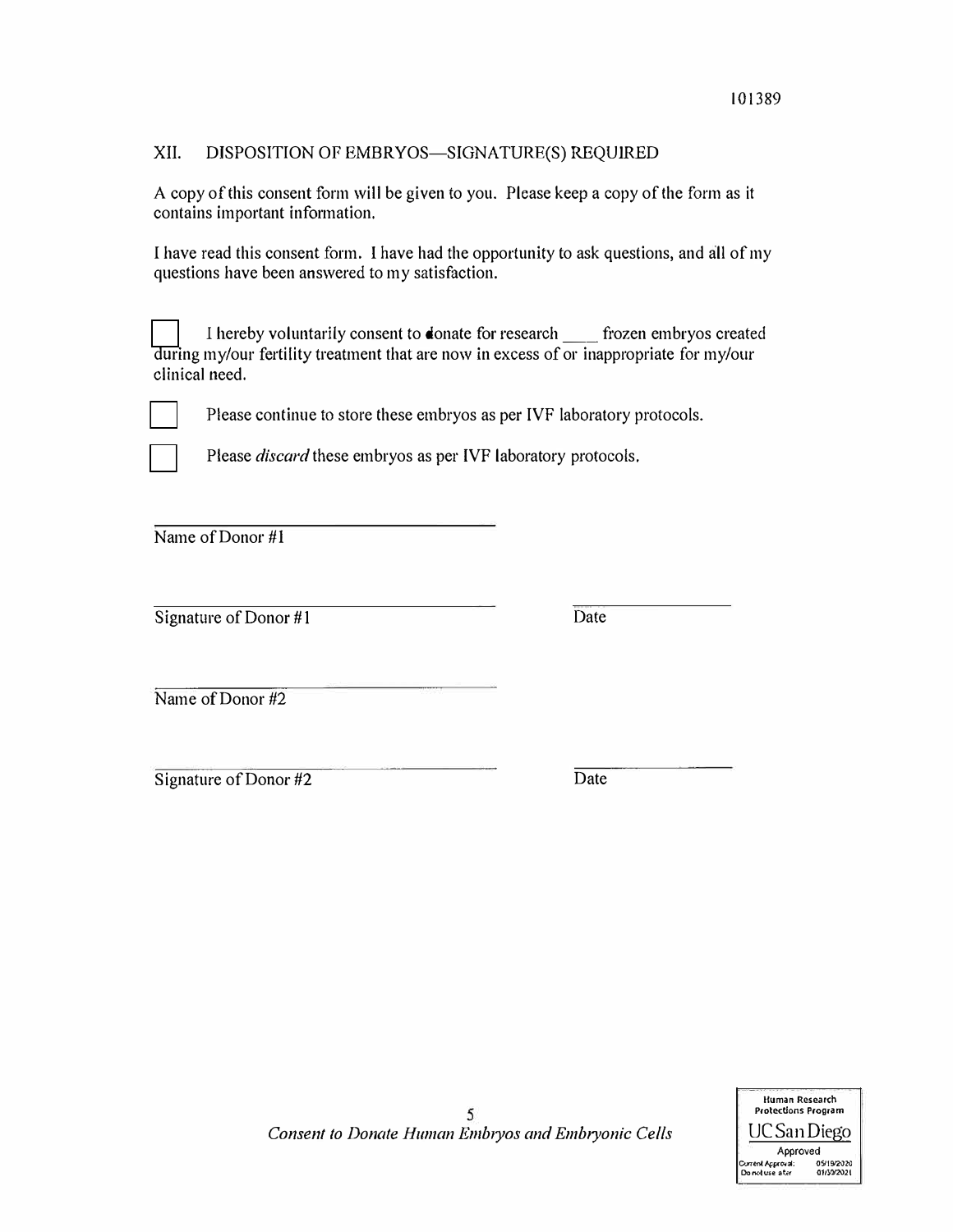## XII. DISPOSITION OF EMBRYOS-SIGNATURE(S) REQUIRED

A copy of this consent form will be given to you. Please keep a copy of the form as it contains important information.

I have read this consent form. I have had the opportunity to ask questions, and all of my questions have been answered to my satisfaction.

I hereby voluntarily consent to donate for research frozen embryos created during my/our fertility treatment that are now in excess of or inappropriate for my/our clinical need.



Please continue to store these embryos as per IVF laboratory protocols.

Please *discard* these embryos as per IVF laboratory protocols.

Name of Donor #1

Signature of Donor #1 Date

Name of Donor #2

Signature of Donor #2 Date

5 *Consent to Donate Human Emb1yos and Embryonic Cells*